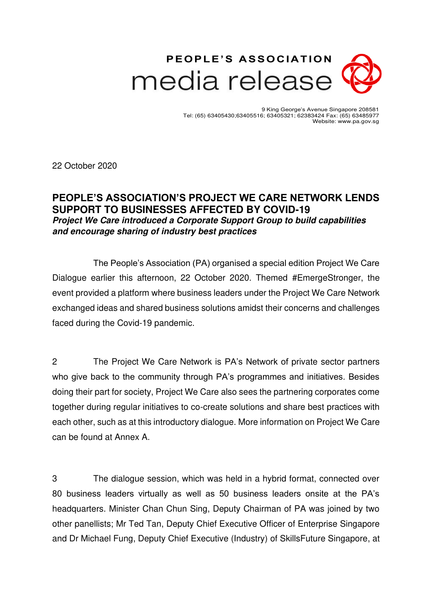# **PEOPLE'S ASS OCIAT ION** media release

9 King George's Avenue Singapore 208581 Tel: (65) 63405430;63405516; 63405321; 62383424 Fax: (65) 63485977 Website: www.pa.gov.sg

22 October 2020

## **PEOPLE'S ASSOCIATION'S PROJECT WE CARE NETWORK LENDS SUPPORT TO BUSINESSES AFFECTED BY COVID-19 Project We Care introduced a Corporate Support Group to build capabilities and encourage sharing of industry best practices**

The People's Association (PA) organised a special edition Project We Care Dialogue earlier this afternoon, 22 October 2020. Themed #EmergeStronger, the event provided a platform where business leaders under the Project We Care Network exchanged ideas and shared business solutions amidst their concerns and challenges faced during the Covid-19 pandemic.

2 The Project We Care Network is PA's Network of private sector partners who give back to the community through PA's programmes and initiatives. Besides doing their part for society, Project We Care also sees the partnering corporates come together during regular initiatives to co-create solutions and share best practices with each other, such as at this introductory dialogue. More information on Project We Care can be found at Annex A.

3 The dialogue session, which was held in a hybrid format, connected over 80 business leaders virtually as well as 50 business leaders onsite at the PA's headquarters. Minister Chan Chun Sing, Deputy Chairman of PA was joined by two other panellists; Mr Ted Tan, Deputy Chief Executive Officer of Enterprise Singapore and Dr Michael Fung, Deputy Chief Executive (Industry) of SkillsFuture Singapore, at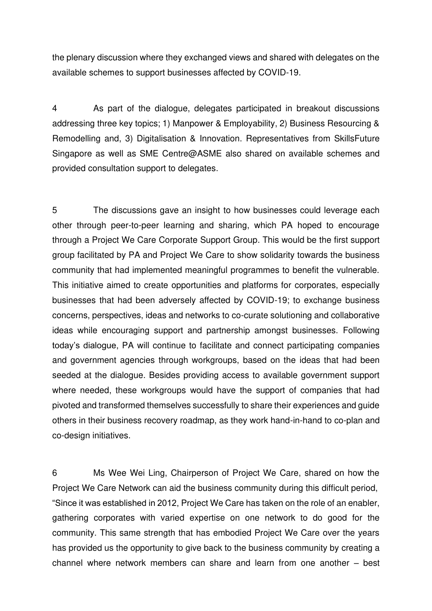the plenary discussion where they exchanged views and shared with delegates on the available schemes to support businesses affected by COVID-19.

4 As part of the dialogue, delegates participated in breakout discussions addressing three key topics; 1) Manpower & Employability, 2) Business Resourcing & Remodelling and, 3) Digitalisation & Innovation. Representatives from SkillsFuture Singapore as well as SME Centre@ASME also shared on available schemes and provided consultation support to delegates.

5 The discussions gave an insight to how businesses could leverage each other through peer-to-peer learning and sharing, which PA hoped to encourage through a Project We Care Corporate Support Group. This would be the first support group facilitated by PA and Project We Care to show solidarity towards the business community that had implemented meaningful programmes to benefit the vulnerable. This initiative aimed to create opportunities and platforms for corporates, especially businesses that had been adversely affected by COVID-19; to exchange business concerns, perspectives, ideas and networks to co-curate solutioning and collaborative ideas while encouraging support and partnership amongst businesses. Following today's dialogue, PA will continue to facilitate and connect participating companies and government agencies through workgroups, based on the ideas that had been seeded at the dialogue. Besides providing access to available government support where needed, these workgroups would have the support of companies that had pivoted and transformed themselves successfully to share their experiences and guide others in their business recovery roadmap, as they work hand-in-hand to co-plan and co-design initiatives.

6 Ms Wee Wei Ling, Chairperson of Project We Care, shared on how the Project We Care Network can aid the business community during this difficult period, "Since it was established in 2012, Project We Care has taken on the role of an enabler, gathering corporates with varied expertise on one network to do good for the community. This same strength that has embodied Project We Care over the years has provided us the opportunity to give back to the business community by creating a channel where network members can share and learn from one another – best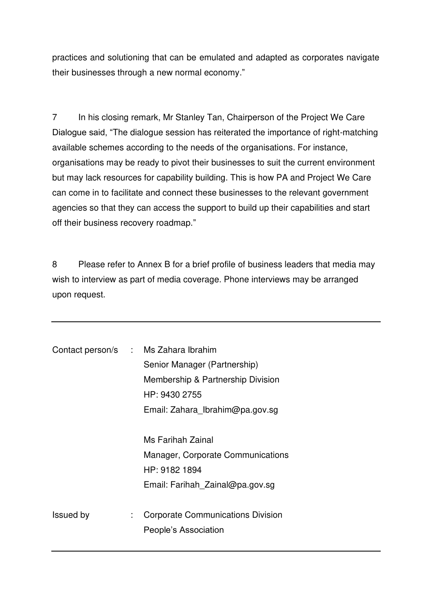practices and solutioning that can be emulated and adapted as corporates navigate their businesses through a new normal economy."

7 In his closing remark, Mr Stanley Tan, Chairperson of the Project We Care Dialogue said, "The dialogue session has reiterated the importance of right-matching available schemes according to the needs of the organisations. For instance, organisations may be ready to pivot their businesses to suit the current environment but may lack resources for capability building. This is how PA and Project We Care can come in to facilitate and connect these businesses to the relevant government agencies so that they can access the support to build up their capabilities and start off their business recovery roadmap."

8 Please refer to Annex B for a brief profile of business leaders that media may wish to interview as part of media coverage. Phone interviews may be arranged upon request.

| Contact person/s : Ms Zahara Ibrahim |    | Senior Manager (Partnership)<br>Membership & Partnership Division<br>HP: 9430 2755<br>Email: Zahara Ibrahim@pa.gov.sg |
|--------------------------------------|----|-----------------------------------------------------------------------------------------------------------------------|
|                                      |    | Ms Farihah Zainal<br>Manager, Corporate Communications<br>HP: 9182 1894<br>Email: Farihah Zainal@pa.gov.sg            |
| <b>Issued by</b>                     | ÷. | <b>Corporate Communications Division</b><br>People's Association                                                      |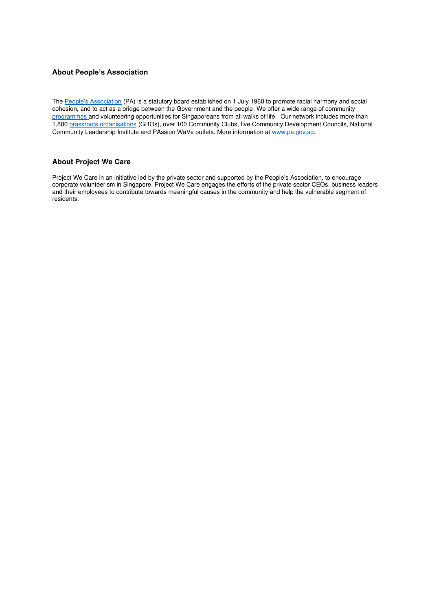#### **About People's Association**

The [People's Association](http://www.pa.gov.sg/) (PA) is a statutory board established on 1 July 1960 to promote racial harmony and social cohesion, and to act as a bridge between the Government and the people. We offer a wide range of community [programmes a](https://www.pa.gov.sg/Our_Programmes)nd volunteering opportunities for Singaporeans from all walks of life. Our network includes more than 1,80[0 grassroots organisations](https://www.pa.gov.sg/Our_Network/Grassroots_Organisations) (GROs), over 100 Community Clubs, five Community Development Councils, National Community Leadership Institute and PAssion WaVe outlets. More information at www.pa.gov.sg.

#### **About Project We Care**

Project We Care in an initiative led by the private sector and supported by the People's Association, to encourage corporate volunteerism in Singapore. Project We Care engages the efforts of the private sector CEOs, business leaders and their employees to contribute towards meaningful causes in the community and help the vulnerable segment of residents.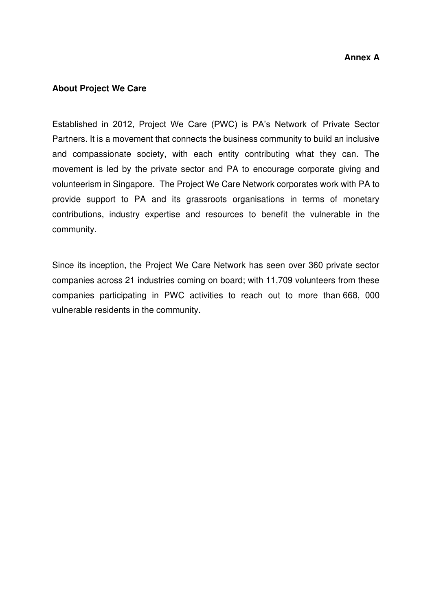### **About Project We Care**

Established in 2012, Project We Care (PWC) is PA's Network of Private Sector Partners. It is a movement that connects the business community to build an inclusive and compassionate society, with each entity contributing what they can. The movement is led by the private sector and PA to encourage corporate giving and volunteerism in Singapore. The Project We Care Network corporates work with PA to provide support to PA and its grassroots organisations in terms of monetary contributions, industry expertise and resources to benefit the vulnerable in the community.

Since its inception, the Project We Care Network has seen over 360 private sector companies across 21 industries coming on board; with 11,709 volunteers from these companies participating in PWC activities to reach out to more than 668, 000 vulnerable residents in the community.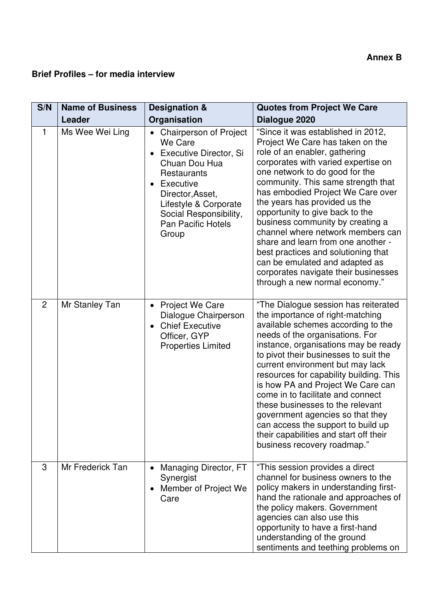## **Brief Profiles – for media interview**

| S/N | <b>Name of Business</b> | <b>Designation &amp;</b>                                                                                                                                                                                                | <b>Quotes from Project We Care</b>                                                                                                                                                                                                                                                                                                                                                                                                                                                                                                                                                                |
|-----|-------------------------|-------------------------------------------------------------------------------------------------------------------------------------------------------------------------------------------------------------------------|---------------------------------------------------------------------------------------------------------------------------------------------------------------------------------------------------------------------------------------------------------------------------------------------------------------------------------------------------------------------------------------------------------------------------------------------------------------------------------------------------------------------------------------------------------------------------------------------------|
|     | Leader                  | Organisation                                                                                                                                                                                                            | Dialogue 2020                                                                                                                                                                                                                                                                                                                                                                                                                                                                                                                                                                                     |
| 1   | Ms Wee Wei Ling         | • Chairperson of Project<br>We Care<br>Executive Director, Si<br>Chuan Dou Hua<br>Restaurants<br>Executive<br>Director, Asset,<br>Lifestyle & Corporate<br>Social Responsibility,<br><b>Pan Pacific Hotels</b><br>Group | "Since it was established in 2012,<br>Project We Care has taken on the<br>role of an enabler, gathering<br>corporates with varied expertise on<br>one network to do good for the<br>community. This same strength that<br>has embodied Project We Care over<br>the years has provided us the<br>opportunity to give back to the<br>business community by creating a<br>channel where network members can<br>share and learn from one another -<br>best practices and solutioning that<br>can be emulated and adapted as<br>corporates navigate their businesses<br>through a new normal economy." |
| 2   | Mr Stanley Tan          | <b>Project We Care</b><br>$\bullet$<br>Dialogue Chairperson<br><b>Chief Executive</b><br>Officer, GYP<br><b>Properties Limited</b>                                                                                      | "The Dialogue session has reiterated<br>the importance of right-matching<br>available schemes according to the<br>needs of the organisations. For<br>instance, organisations may be ready<br>to pivot their businesses to suit the<br>current environment but may lack<br>resources for capability building. This<br>is how PA and Project We Care can<br>come in to facilitate and connect<br>these businesses to the relevant<br>government agencies so that they<br>can access the support to build up<br>their capabilities and start off their<br>business recovery roadmap."                |
| 3   | Mr Frederick Tan        | Managing Director, FT<br>Synergist<br>Member of Project We<br>$\bullet$<br>Care                                                                                                                                         | "This session provides a direct<br>channel for business owners to the<br>policy makers in understanding first-<br>hand the rationale and approaches of<br>the policy makers. Government<br>agencies can also use this<br>opportunity to have a first-hand<br>understanding of the ground<br>sentiments and teething problems on                                                                                                                                                                                                                                                                   |